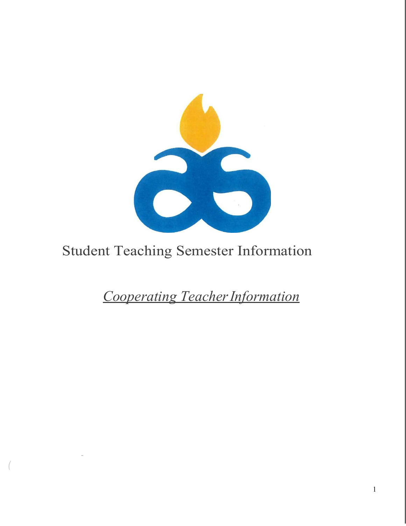

## Student Teaching Semester Information

*-*

*(*

*Cooperating TeacherInformation*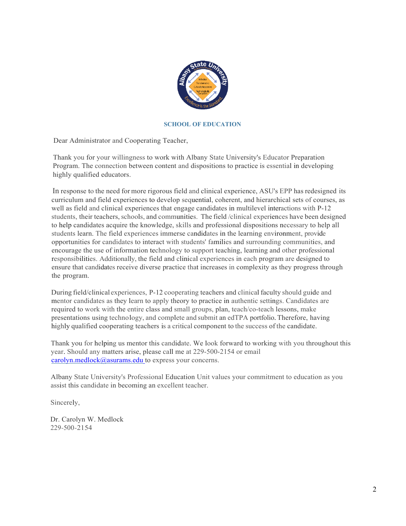

#### **SCHOOL OF EDUCATION**

Dear Administrator and Cooperating Teacher,

Thank you for your willingness to work with Albany State University's Educator Preparation Program. The connection between content and dispositions to practice is essential in developing highly qualified educators.

In response to the need for more rigorous field and clinical experience, ASU's EPP has redesigned its curriculum and field experiences to develop sequential, coherent, and hierarchical sets of courses, as well as field and clinical experiences that engage candidates in multilevel interactions with P-12 students, their teachers, schools, and communities. The field /clinical experiences have been designed to help candidates acquire the knowledge, skills and professional dispositions necessary to help all students learn. The field experiences immerse candidates in the learning environment, provide opportunities for candidates to interact with students' families and surrounding communities, and encourage the use of information technology to support teaching, learning and other professional responsibilities. Additionally, the field and clinical experiences in each program are designed to ensure that candidates receive diverse practice that increases in complexity as they progress through the program.

During field/clinical experiences, P-12 cooperating teachers and clinical faculty should guide and mentor candidates as they learn to apply theory to practice in authentic settings. Candidates are required to work with the entire class and small groups, plan, teach/co-teach lessons, make presentations using technology, and complete and submit an edTPA portfolio. Therefore, having highly qualified cooperating teachers is a critical component to the success of the candidate.

Thank you for helping us mentor this candidate. We look forward to working with you throughout this year. Should any matters arise, please call me at 229-500-2154 or email [carolyn.medlock@asurams.edu](mailto:carolyn.medlock@asurams.edu) to express your concerns.

Albany State University's Professional Education Unit values your commitment to education as you assist this candidate in becoming an excellent teacher.

Sincerely,

Dr. Carolyn W. Medlock 229-500-2154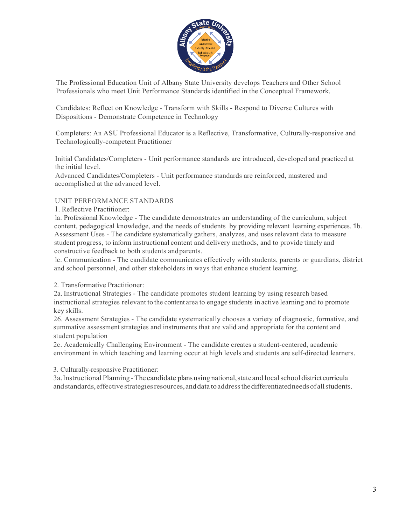

The Professional Education Unit of Albany State University develops Teachers and Other School Professionals who meet Unit Performance Standards identified in the Conceptual Framework.

Candidates: Reflect on Knowledge - Transform with Skills - Respond to Diverse Cultures with Dispositions - Demonstrate Competence in Technology

Completers: An ASU Professional Educator is a Reflective, Transformative, Culturally-responsive and Technologically-competent Practitioner

Initial Candidates/Completers - Unit performance standards are introduced, developed and practiced at the initial level.

Advanced Candidates/Completers - Unit performance standards are reinforced, mastered and accomplished at the advanced level.

## UNIT PERFORMANCE STANDARDS

1. Reflective Practitioner:

la. Professional Knowledge - The candidate demonstrates an understanding of the curriculum, subject content, pedagogical knowledge, and the needs of students by providing relevant learning experiences. 1b. Assessment Uses - The candidate systematically gathers, analyzes, and uses relevant data to measure student progress, to inform instructional content and delivery methods, and to provide timely and constructive feedback to both students andparents.

lc. Communication - The candidate communicates effectively with students, parents or guardians, district and school personnel, and other stakeholders in ways that enhance student learning.

2. Transformative Practitioner:

2a. Instructional Strategies - The candidate promotes student learning by using research based instructional strategies relevant to the content area to engage students in active learning and to promote key skills.

26. Assessment Strategies - The candidate systematically chooses a variety of diagnostic, formative, and summative assessment strategies and instruments that are valid and appropriate for the content and student population

2c. Academically Challenging Environment - The candidate creates a student-centered, academic environment in which teaching and learning occur at high levels and students are self-directed learners.

3. Culturally-responsive Practitioner:

3a.Instructional Planning-The candidate plans using national,stateand localschool districtcurricula and standards, effective strategies resources, and data to address the differentiated needs of all students.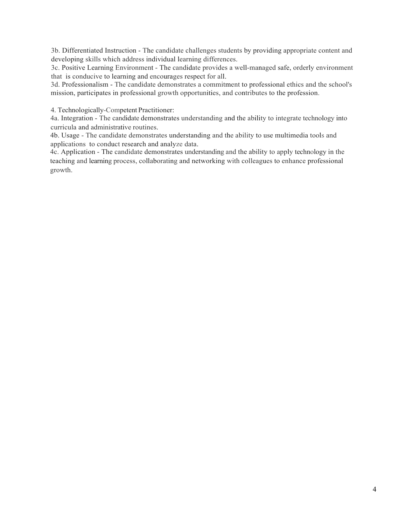3b. Differentiated Instruction - The candidate challenges students by providing appropriate content and developing skills which address individual learning differences.

3c. Positive Learning Environment - The candidate provides a well-managed safe, orderly environment that is conducive to learning and encourages respect for all.

3d. Professionalism - The candidate demonstrates a commitment to professional ethics and the school's mission, participates in professional growth opportunities, and contributes to the profession.

4. Technologically-Competent Practitioner:

4a. Integration - The candidate demonstrates understanding and the ability to integrate technology into curricula and administrative routines.

4b. Usage - The candidate demonstrates understanding and the ability to use multimedia tools and applications to conduct research and analyze data.

4c. Application - The candidate demonstrates understanding and the ability to apply technology in the teaching and learning process, collaborating and networking with colleagues to enhance professional growth.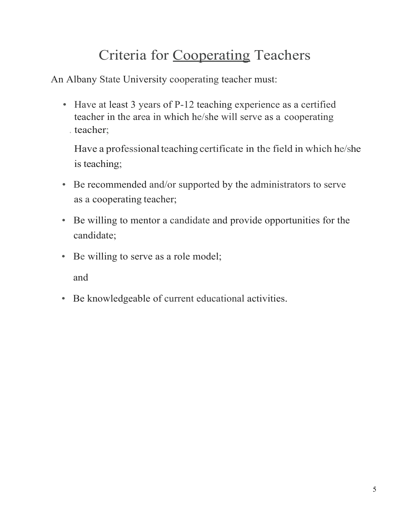# Criteria for Cooperating Teachers

An Albany State University cooperating teacher must:

• Have at least 3 years of P-12 teaching experience as a certified teacher in the area in which he/she will serve as a cooperating . teacher;

Have a professional teaching certificate in the field in which he/she is teaching;

- Be recommended and/or supported by the administrators to serve as a cooperating teacher;
- Be willing to mentor a candidate and provide opportunities for the candidate;
- Be willing to serve as a role model;

and

• Be knowledgeable of current educational activities.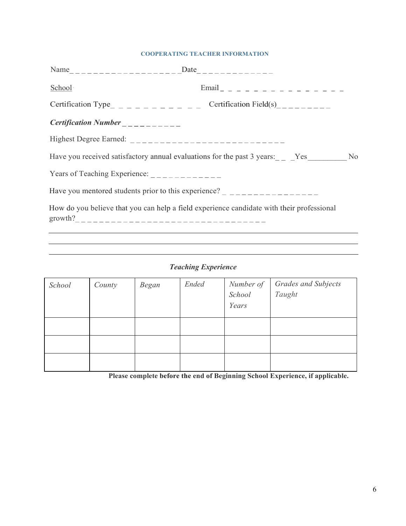#### **COOPERATING TEACHER INFORMATION**

| School                                                                                                                                                                                                                                                                                             | $\n  Email 1 2 2 3 3 4 4 4 4 5 4 6 7 6 7 8 8 9 10 11 9 10 11 9 11 9 11 9 11 <$ |  |  |  |  |
|----------------------------------------------------------------------------------------------------------------------------------------------------------------------------------------------------------------------------------------------------------------------------------------------------|--------------------------------------------------------------------------------|--|--|--|--|
| Certification Type <sub>________________</sub> Certification Field(s)________                                                                                                                                                                                                                      |                                                                                |  |  |  |  |
| Certification Number $\frac{1}{1}$                                                                                                                                                                                                                                                                 |                                                                                |  |  |  |  |
|                                                                                                                                                                                                                                                                                                    |                                                                                |  |  |  |  |
| Have you received satisfactory annual evaluations for the past 3 years: _ _ Yes _ _ _ No                                                                                                                                                                                                           |                                                                                |  |  |  |  |
| Years of Teaching Experience: $\frac{1}{2}$                                                                                                                                                                                                                                                        |                                                                                |  |  |  |  |
| Have you mentored students prior to this experience? $\frac{1}{2}$ $\frac{1}{2}$ $\frac{1}{2}$ $\frac{1}{2}$ $\frac{1}{2}$ $\frac{1}{2}$ $\frac{1}{2}$ $\frac{1}{2}$ $\frac{1}{2}$ $\frac{1}{2}$ $\frac{1}{2}$ $\frac{1}{2}$ $\frac{1}{2}$ $\frac{1}{2}$ $\frac{1}{2}$ $\frac{1}{2}$ $\frac{1}{2}$ |                                                                                |  |  |  |  |
| How do you believe that you can help a field experience candidate with their professional                                                                                                                                                                                                          |                                                                                |  |  |  |  |

## *Teaching Experience*

| School | County | Began | <b>Ended</b> | Number of<br>School<br>Years | <b>Grades and Subjects</b><br>Taught |
|--------|--------|-------|--------------|------------------------------|--------------------------------------|
|        |        |       |              |                              |                                      |
|        |        |       |              |                              |                                      |
|        |        |       |              |                              |                                      |

**Please complete before the end of Beginning School Experience, if applicable.**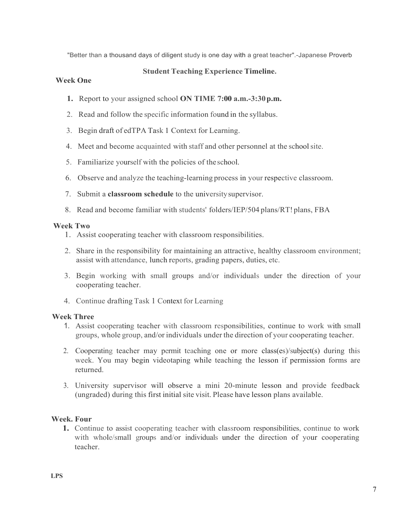"Better than a thousand days of diligent study is one day with a great teacher".-Japanese Proverb

## **Student Teaching Experience Timeline.**

## **Week One**

- **1.** Report to your assigned school **ON TIME 7:00 a.m.-3:30p.m.**
- 2. Read and follow the specific information found in the syllabus.
- 3. Begin draft of edTPA Task 1 Context for Learning.
- 4. Meet and become acquainted with staff and other personnel at the schoolsite.
- 5. Familiarize yourself with the policies of the school.
- 6. Observe and analyze the teaching-learning process in your respective classroom.
- 7. Submit a **classroom schedule** to the universitysupervisor.
- 8. Read and become familiar with students' folders/IEP/504 plans/RT! plans, FBA

## **Week Two**

- 1. Assist cooperating teacher with classroom responsibilities.
- 2. Share in the responsibility for maintaining an attractive, healthy classroom environment; assist with attendance, lunch reports, grading papers, duties, etc.
- 3. Begin working with small groups and/or individuals under the direction of your cooperating teacher.
- 4. Continue drafting Task 1 Context for Learning

#### **Week Three**

- 1. Assist cooperating teacher with classroom responsibilities, continue to work with small groups, whole group, and/or individuals under the direction of your cooperating teacher.
- 2. Cooperating teacher may permit teaching one or more class(es)/subject(s) during this week. You may begin videotaping while teaching the lesson if permission forms are returned.
- 3. University supervisor will observe a mini 20-minute lesson and provide feedback (ungraded) during this first initial site visit. Please have lesson plans available.

#### **Week. Four**

**1.** Continue to assist cooperating teacher with classroom responsibilities, continue to work with whole/small groups and/or individuals under the direction of your cooperating teacher.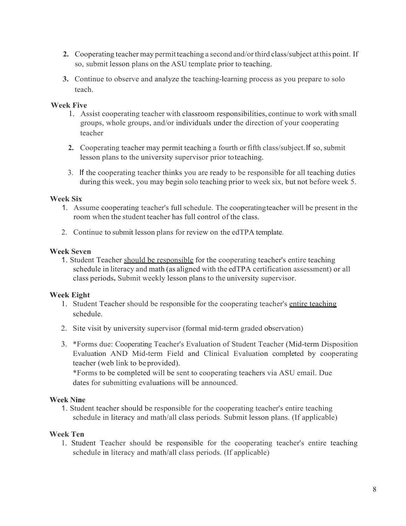- **2.** Cooperating teacher may permitteaching a second and/orthird class/subject atthis point. If so, submit lesson plans on the ASU template prior to teaching.
- **3.** Continue to observe and analyze the teaching-learning process as you prepare to solo teach.

## **Week Five**

- 1. Assist cooperating teacher with classroom responsibilities, continue to work with small groups, whole groups, and/or individuals under the direction of your cooperating teacher
- **2.** Cooperating teacher may permit teaching a fourth or fifth class/subject. If so, submit lesson plans to the university supervisor prior toteaching.
- 3. If the cooperating teacher thinks you are ready to be responsible for all teaching duties during this week, you may begin solo teaching prior to week six, but not before week 5.

## **Week Six**

- 1. Assume cooperating teacher's full schedule. The cooperatingteacher will be present in the room when the student teacher has full control of the class.
- 2. Continue to submit lesson plans for review on the edTPA template.

## **Week Seven**

1. Student Teacher should be responsible for the cooperating teacher's entire teaching schedule in literacy and math (as aligned with the edTPA certification assessment) or all class periods**.** Submit weekly lesson plans to the university supervisor.

## **Week Eight**

- 1. Student Teacher should be responsible for the cooperating teacher's entire teaching schedule.
- 2. Site visit by university supervisor (formal mid-term graded observation)
- 3. \*Forms due: Cooperating Teacher's Evaluation of Student Teacher (Mid-term Disposition Evaluation AND Mid-term Field and Clinical Evaluation completed by cooperating teacher (web link to be provided).

\*Forms to be completed will be sent to cooperating teachers via ASU email. Due dates for submitting evaluations will be announced.

## **Week Nine**

1. Student teacher should be responsible for the cooperating teacher's entire teaching schedule in literacy and math/all class periods. Submit lesson plans. (If applicable)

## **Week Ten**

1. Student Teacher should be responsible for the cooperating teacher's entire teaching schedule in literacy and math/all class periods. (If applicable)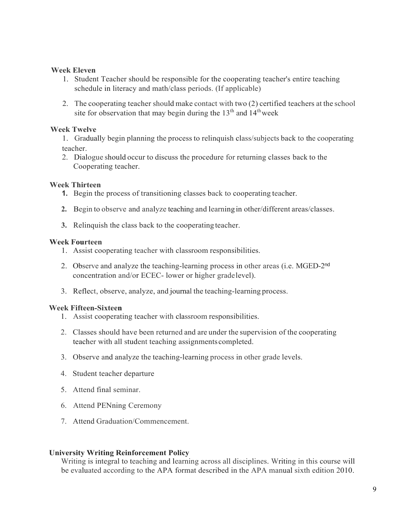## **Week Eleven**

- 1. Student Teacher should be responsible for the cooperating teacher's entire teaching schedule in literacy and math/class periods. (If applicable)
- 2. The cooperating teacher should make contact with two (2) certified teachers at the school site for observation that may begin during the  $13<sup>th</sup>$  and  $14<sup>th</sup>$  week

## **Week Twelve**

- 1. Gradually begin planning the process to relinquish class/subjects back to the cooperating teacher.
- 2. Dialogue should occur to discuss the procedure for returning classes back to the Cooperating teacher.

## **Week Thirteen**

- **1.** Begin the process of transitioning classes back to cooperating teacher.
- **2.** Begin to observe and analyze teaching and learning in other/different areas/classes.
- **3.** Relinquish the class back to the cooperating teacher.

## **Week Fourteen**

- 1. Assist cooperating teacher with classroom responsibilities.
- 2. Observe and analyze the teaching-learning process in other areas (i.e. MGED-2nd concentration and/or ECEC- lower or higher gradelevel).
- 3. Reflect, observe, analyze, and journal the teaching-learning process.

#### **Week Fifteen-Sixteen**

- 1. Assist cooperating teacher with classroom responsibilities.
- 2. Classes should have been returned and are under the supervision of the cooperating teacher with all student teaching assignmentscompleted.
- 3. Observe and analyze the teaching-learning process in other grade levels.
- 4. Student teacher departure
- 5. Attend final seminar.
- 6. Attend PENning Ceremony
- 7. Attend Graduation/Commencement.

## **University Writing Reinforcement Policy**

Writing is integral to teaching and learning across all disciplines. Writing in this course will be evaluated according to the APA format described in the APA manual sixth edition 2010.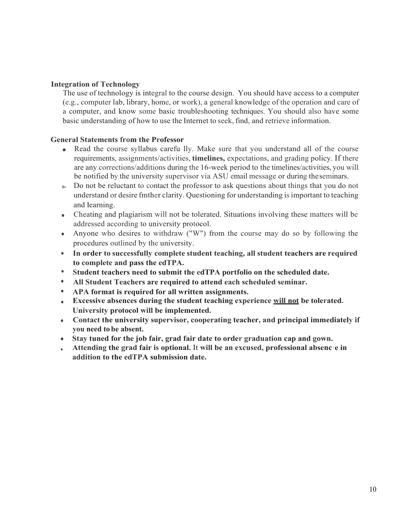## **Integration of Technology**

The use of technology is integral to the course design. You should have access to a computer (e.g., computer lab, library, home, or work), a general knowledge of the operation and care of a computer, and know some basic troubleshooting techniques. You should also have some basic understanding of how to use the Internet to seek, find, and retrieve information.

## **General Statements from the Professor**

- Read the course syllabus carefu lly. Make sure that you understand all of the course requirements, assignments/activities, **timelines,** expectations, and grading policy. If there are any corrections/additions during the 16-week period to the timelines/activities, you will be notified by the university supervisor via ASU email message or during theseminars.
- **fl>** Do not be reluctant to contact the professor to ask questions about things that you do not understand or desire fmther clarity. Questioning for understanding isimportant to teaching and learning.
- Cheating and plagiarism will not be tolerated. Situations involving these matters will be addressed according to university protocol.
- Anyone who desires to withdraw ("W") from the course may do so by following the procedures outlined by the university.
- **In order to successfully complete student teaching, all student teachers are required to complete and pass the edTPA.**
- **Student teachers need to submit the edTPA portfolio on the scheduled date.**
- **All Student Teachers are required to attend each scheduled seminar.**
- **APA format is required for all written assignments.**
- **Excessive absences during the student teaching experience will not be tolerated. University protocol will be implemented.**
- **Contact the university supervisor, cooperating teacher, and principal immediately if you need to be absent.** \_
- **Stay tuned for the job fair, grad fair date to order graduation cap and gown.**
- **Attending the grad fair is optional.** It **will be an excused, professional absenc·e in addition to the edTPA submission date.**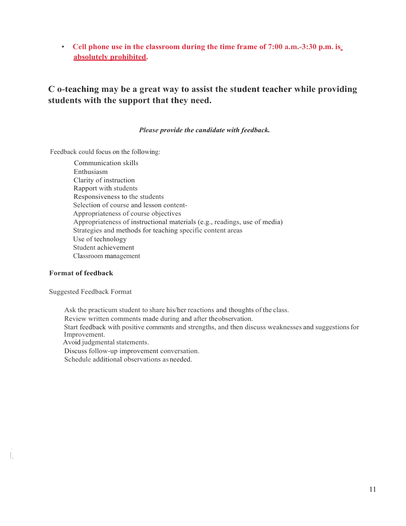• **Cell phone use in the classroom during the time frame of 7:00 a.m.-3:30 p.m. is absolutely prohibited.**

## **C o-teaching may be a great way to assist the student teacher while providing students with the support that they need.**

*Please provide the candidate with feedback.*

Feedback could focus on the following:

Communication skills Enthusiasm Clarity of instruction Rapport with students Responsiveness to the students Selection of course and lesson content-Appropriateness of course objectives Appropriateness of instructional materials (e.g., readings, use of media) Strategies and methods for teaching specific content areas Use of technology Student achievement Classroom management

#### **Format of feedback**

I,

Suggested Feedback Format

Ask the practicum student to share his/her reactions and thoughts of the class.

Review written comments made during and after theobservation.

 Start feedback with positive comments and strengths, and then discuss weaknesses and suggestionsfor Improvement.

Avoid judgmental statements.

Discuss follow-up improvement conversation.

Schedule additional observations as needed.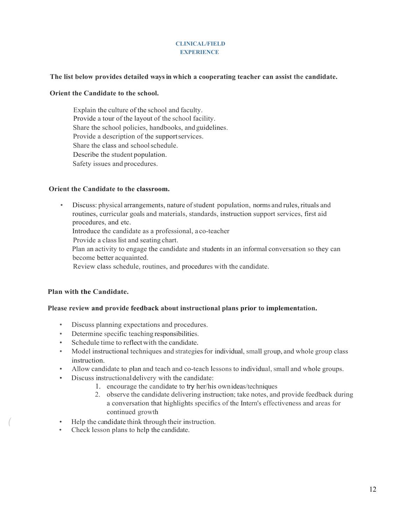#### **CLINICAL/FIELD EXPERIENCE**

#### **The list below provides detailed waysin which a cooperating teacher can assist the candidate.**

#### **Orient the Candidate to the school.**

Explain the culture of the school and faculty. Provide a tour of the layout of the school facility. Share the school policies, handbooks, and guidelines. Provide a description of the supportservices. Share the class and schoolschedule. Describe the student population. Safety issues and procedures.

#### **Orient the Candidate to the classroom.**

• Discuss: physical arrangements, nature ofstudent population, norms and rules, rituals and routines, curricular goals and materials, standards, instruction support services, first aid procedures, and etc.

Introduce the candidate as a professional, a co-teacher

Provide a class list and seating chart.

Plan an activity to engage the candidate and students in an informal conversation so they can become better acquainted.

Review class schedule, routines, and procedures with the candidate.

#### **Plan with the Candidate.**

#### **Please review and provide feedback about instructional plans prior to implementation.**

- Discuss planning expectations and procedures.
- Determine specific teaching responsibilities.
- Schedule time to reflectwith the candidate.
- Model instructional techniques and strategies for individual, small group, and whole group class instruction.
- Allow candidate to plan and teach and co-teach lessons to individual, small and whole groups.
- Discuss instructionaldelivery with the candidate:
	- 1. encourage the candidate to try her/his ownideas/techniques
	- 2. observe the candidate delivering instruction; take notes, and provide feedback during a conversation that highlights specifics of the Intern's effectiveness and areas for continued growth
- *(* Help the candidate think through their instruction.
- Check lesson plans to help the candidate.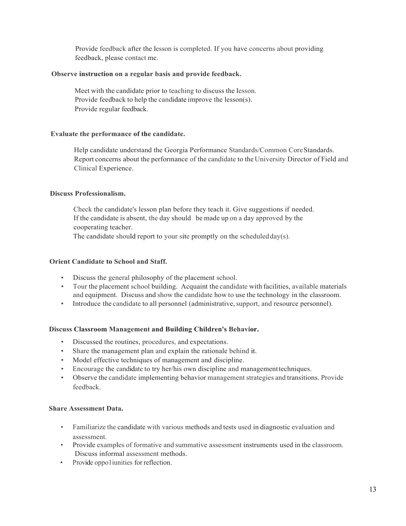Provide feedback after the lesson is completed. If you have concerns about providing feedback, please contact me.

#### **Observe instruction on a regular basis and provide feedback.**

Meet with the candidate prior to teaching to discuss the lesson. Provide feedback to help the candidate improve the lesson(s). Provide regular feedback.

#### **Evaluate the performance of the candidate.**

Help candidate understand the Georgia Performance Standards/Common CoreStandards. Report concerns about the performance of the candidate to the University Director of Field and Clinical Experience.

#### **Discuss Professionalism.**

Check the candidate's lesson plan before they teach it. Give suggestions if needed. If the candidate is absent, the day should be made up on a day approved by the cooperating teacher.

The candidate should report to your site promptly on the scheduled  $day(s)$ .

#### **Orient Candidate to School and Staff.**

- Discuss the general philosophy of the placement school.
- Tour the placement school building. Acquaint the candidate with facilities, available materials and equipment. Discuss and show the candidate how to use the technology in the classroom.
- Introduce the candidate to all personnel (administrative, support, and resource personnel).

#### **Discuss Classroom Management and Building Children's Behavior.**

- Discussed the routines, procedures, and expectations.
- Share the management plan and explain the rationale behind it.
- Model effective techniques of management and discipline.
- Encourage the candidate to try her/his own discipline and managementtechniques.
- Observe the candidate implementing behavior management strategies and transitions. Provide feedback.

#### **Share Assessment Data.**

- Familiarize the candidate with various methods and tests used in diagnostic evaluation and assessment.
- Provide examples of formative and summative assessment instruments used in the classroom. Discuss informal assessment methods.
- Provide oppo1iunities for reflection.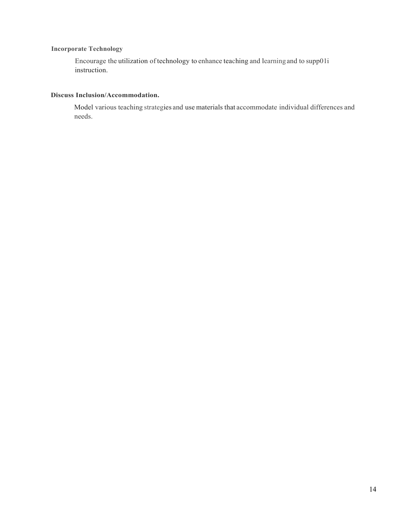#### **Incorporate Technology**

Encourage the utilization of technology to enhance teaching and learningand to supp01i instruction.

#### **Discuss Inclusion/Accommodation.**

Model various teaching strategies and use materials that accommodate individual differences and needs.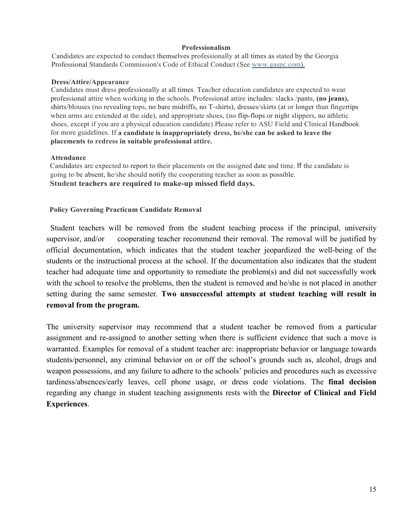#### **Professionalism**

Candidates are expected to conduct themselves professionally at all times as stated by the Georgia Professional Standards Commission's Code of Ethical Conduct (See www.gaspc.com).

#### **Dress/Attire/Appearance**

Candidates must dress professionally at all times. Teacher education candidates are expected to wear professional attire when working in the schools. Professional attire includes: slacks /pants, **(no jeans),**  shirts/blouses (no revealing tops, no bare midriffs, no T-shirts), dresses/skirts (at or longer than fingertips when arms are extended at the side), and appropriate shoes, (no flip-flops or night slippers, no athletic shoes, except if you are a physical education candidate).Please refer to ASU Field and Clinical Handbook for more guidelines. If **a candidate is inappropriately dress, he/she can be asked to leave the placements to redress in suitable professional attire.**

#### **Attendance**

Candidates are expected to report to their placements on the assigned date and time. If the candidate is going to be absent, he/she should notify the cooperating teacher as soon as possible. **Student teachers are required to make-up missed field days.**

#### **Policy Governing Practicum Candidate Removal**

 Student teachers will be removed from the student teaching process if the principal, university supervisor, and/or cooperating teacher recommend their removal. The removal will be justified by official documentation, which indicates that the student teacher jeopardized the well-being of the students or the instructional process at the school. If the documentation also indicates that the student teacher had adequate time and opportunity to remediate the problem(s) and did not successfully work with the school to resolve the problems, then the student is removed and he/she is not placed in another setting during the same semester. **Two unsuccessful attempts at student teaching will result in removal from the program.**

The university supervisor may recommend that a student teacher be removed from a particular assignment and re-assigned to another setting when there is sufficient evidence that such a move is warranted. Examples for removal of a student teacher are: inappropriate behavior or language towards students/personnel, any criminal behavior on or off the school's grounds such as, alcohol, drugs and weapon possessions, and any failure to adhere to the schools' policies and procedures such as excessive tardiness/absences/early leaves, cell phone usage, or dress code violations. The **final decision**  regarding any change in student teaching assignments rests with the **Director of Clinical and Field Experiences**.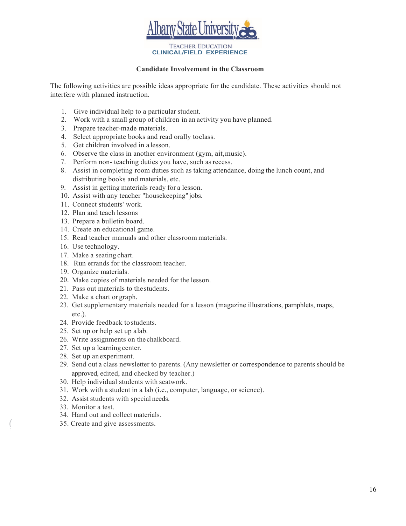

#### **Candidate Involvement in the Classroom**

The following activities are possible ideas appropriate for the candidate. These activities should not interfere with planned instruction.

- 1. Give individual help to a particular student.
- 2. Work with a small group of children in an activity you have planned.
- 3. Prepare teacher-made materials.
- 4. Select appropriate books and read orally toclass.
- 5. Get children involved in a lesson.
- 6. Observe the class in another environment (gym, ait,music).
- 7. Perform non- teaching duties you have, such asrecess.
- 8. Assist in completing room duties such as taking attendance, doing the lunch count, and distributing books and materials, etc.
- 9. Assist in getting materials ready for a lesson.
- 10. Assist with any teacher "housekeeping"jobs.
- 11. Connect students' work.
- 12. Plan and teach lessons
- 13. Prepare a bulletin board.
- 14. Create an educational game.
- 15. Read teacher manuals and other classroom materials.
- 16. Use technology.
- 17. Make a seating chart.
- 18. Run errands for the classroom teacher.
- 19. Organize materials.
- 20. Make copies of materials needed for the lesson.
- 21. Pass out materials to thestudents.
- 22. Make a chart or graph.
- 23. Get supplementary materials needed for a lesson (magazine illustrations, pamphlets, maps, etc.).
- 24. Provide feedback tostudents.
- 25. Set up or help set up alab.
- 26. Write assignments on the chalkboard.
- 27. Set up a learning center.
- 28. Set up an experiment.
- 29. Send out a class newsletter to parents. (Any newsletter or correspondence to parents should be approved, edited, and checked by teacher.)
- 30. Help individual students with seatwork.
- 31. Work with a student in a lab (i.e., computer, language, or science).
- 32. Assist students with special needs.
- 33. Monitor a test.
- 34. Hand out and collect materials.
- *(* 35. Create and give assessments.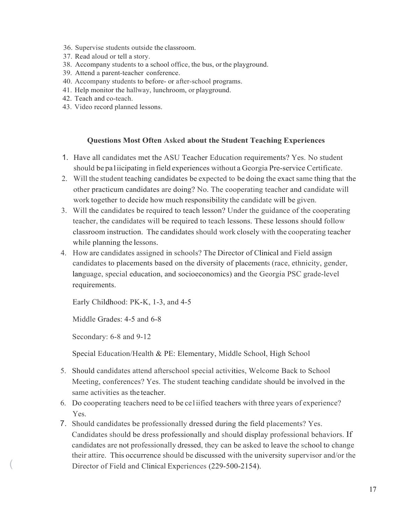- 36. Supervise students outside the classroom.
- 37. Read aloud or tell a story.
- 38. Accompany students to a school office, the bus, or the playground.
- 39. Attend a parent-teacher conference.
- 40. Accompany students to before- or after-school programs.
- 41. Help monitor the hallway, lunchroom, or playground.
- 42. Teach and co-teach.
- 43. Video record planned lessons.

#### **Questions Most Often Asked about the Student Teaching Experiences**

- 1. Have all candidates met the ASU Teacher Education requirements? Yes. No student should be pa1iicipating in field experiences without a Georgia Pre-service Certificate.
- 2. Will the student teaching candidates be expected to be doing the exact same thing that the other practicum candidates are doing? No. The cooperating teacher and candidate will work together to decide how much responsibility the candidate will be given.
- 3. Will the candidates be required to teach lesson? Under the guidance of the cooperating teacher, the candidates will be required to teach lessons. These lessons should follow classroom instruction. The candidates should work closely with the cooperating teacher while planning the lessons.
- 4. How are candidates assigned in schools? The Director of Clinical and Field assign candidates to placements based on the diversity of placements (race, ethnicity, gender, language, special education, and socioeconomics) and the Georgia PSC grade-level requirements.

Early Childhood: PK-K, 1-3, and 4-5

Middle Grades: 4-5 and 6-8

Secondary: 6-8 and 9-12

Special Education/Health & PE: Elementary, Middle School, High School

- 5. Should candidates attend afterschool special activities, Welcome Back to School Meeting, conferences? Yes. The student teaching candidate should be involved in the same activities as the teacher.
- 6. Do cooperating teachers need to be ce1iified teachers with three years of experience? Yes.
- 7. Should candidates be professionally dressed during the field placements? Yes. Candidates should be dress professionally and should display professional behaviors. If candidates are not professionally dressed, they can be asked to leave the school to change their attire. This occurrence should be discussed with the university supervisor and/or the Director of Field and Clinical Experiences (229-500-2154).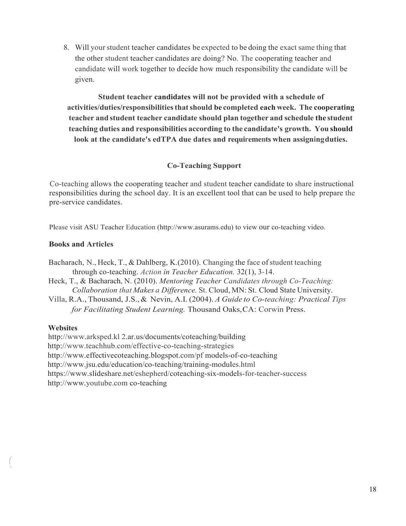8. Will your student teacher candidates be expected to be doing the exact same thing that the other student teacher candidates are doing? No. The cooperating teacher and candidate will work together to decide how much responsibility the candidate will be given.

**Student teacher candidates will not be provided with a schedule of activities/duties/responsibilitiesthatshould be completed each week. The cooperating teacher and student teacher candidate should plan together and schedule the student teaching duties and responsibilities according to the candidate's growth. You should look at the candidate's edTPA due dates and requirements when assigningduties.**

## **Co-Teaching Support**

Co-teaching allows the cooperating teacher and student teacher candidate to share instructional responsibilities during the school day. It is an excellent tool that can be used to help prepare the pre-service candidates.

Please visit ASU Teacher Education (http://www.asurams.edu) to view our co-teaching video.

## **Books and Articles**

Bacharach, N., Heck, T., & Dahlberg, K.(2010). Changing the face of student teaching through co-teaching. *Action in Teacher Education.* 32(1), 3-14.

Heck, T., & Bacharach, N. (2010). *Mentoring Teacher Candidates through Co-Teaching: Collaboration that Makes a Difference.* St. Cloud, MN: St. Cloud State University.

Villa, R.A., Thousand, J.S., & Nevin, A.I. (2004). *A Guide to Co-teaching: Practical Tips for Facilitating Student Learning.* Thousand Oaks,CA: Corwin Press.

#### **Websites**

*(* •.

[http://www.arksped.kl 2](http://www.arksped.kl/).ar.us/documents/coteaching/building <http://www.teachhub.com/effective-co-teaching-strategies> [http://www.effectivecoteaching.blogspot.com/pf m](http://www.effectivecoteaching.blogspot.com/pf)odels-of-co-teaching <http://www.jsu.edu/education/co-teaching/training-modules.html> [https://www.slideshare.net/eshepherd/coteaching-six-models-for-teacher-success](http://www.slideshare.net/eshepherd/coteaching-six-models-for-teacher-success) [http://www.youtube.com c](http://www.youtube.com/)o-teaching